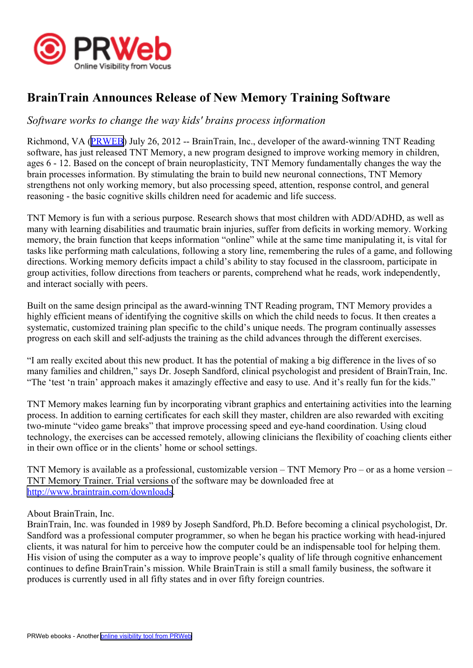

## **BrainTrain Announces Release of New Memory Training Software**

## *Software works to change the way kids' brains process information*

Richmond, VA [\(PRWEB\)](http://www.prweb.com) July 26, 2012 -- BrainTrain, Inc., developer of the award-winning TNT Reading software, has just released TNT Memory, <sup>a</sup> new program designed to improve working memory in children, ages 6 - 12. Based on the concep<sup>t</sup> of brain neuroplasticity, TNT Memory fundamentally changes the way the brain processes information. By stimulating the brain to build new neuronal connections, TNT Memory strengthens not only working memory, but also processing speed, attention, response control, and general reasoning - the basic cognitive skills children need for academic and life success.

TNT Memory is fun with <sup>a</sup> serious purpose. Research shows that most children with ADD/ADHD, as well as many with learning disabilities and traumatic brain injuries, suffer from deficits in working memory. Working memory, the brain function that keeps information "online" while at the same time manipulating it, is vital for tasks like performing math calculations, following <sup>a</sup> story line, remembering the rules of <sup>a</sup> game, and following directions. Working memory deficits impact <sup>a</sup> child's ability to stay focused in the classroom, participate in group activities, follow directions from teachers or parents, comprehend what he reads, work independently, and interact socially with peers.

Built on the same design principal as the award-winning TNT Reading program, TNT Memory provides <sup>a</sup> highly efficient means of identifying the cognitive skills on which the child needs to focus. It then creates <sup>a</sup> systematic, customized training plan specific to the child's unique needs. The program continually assesses progress on each skill and self-adjusts the training as the child advances through the different exercises.

"I am really excited about this new product. It has the potential of making <sup>a</sup> big difference in the lives of so many families and children," says Dr. Joseph Sandford, clinical psychologist and president of BrainTrain, Inc. "The 'test 'n train' approach makes it amazingly effective and easy to use. And it's really fun for the kids."

TNT Memory makes learning fun by incorporating vibrant graphics and entertaining activities into the learning process. In addition to earning certificates for each skill they master, children are also rewarded with exciting two-minute "video game breaks" that improve processing speed and eye-hand coordination. Using cloud technology, the exercises can be accessed remotely, allowing clinicians the flexibility of coaching clients either in their own office or in the clients' home or school settings.

TNT Memory is available as <sup>a</sup> professional, customizable version – TNT Memory Pro – or as <sup>a</sup> home version – TNT Memory Trainer. Trial versions of the software may be downloaded free at <http://www.braintrain.com/downloads>.

## About BrainTrain, Inc.

BrainTrain, Inc. was founded in 1989 by Joseph Sandford, Ph.D. Before becoming <sup>a</sup> clinical psychologist, Dr. Sandford was <sup>a</sup> professional computer programmer, so when he began his practice working with head-injured clients, it was natural for him to perceive how the computer could be an indispensable tool for helping them. His vision of using the computer as <sup>a</sup> way to improve people's quality of life through cognitive enhancement continues to define BrainTrain's mission. While BrainTrain is still <sup>a</sup> small family business, the software it produces is currently used in all fifty states and in over fifty foreign countries.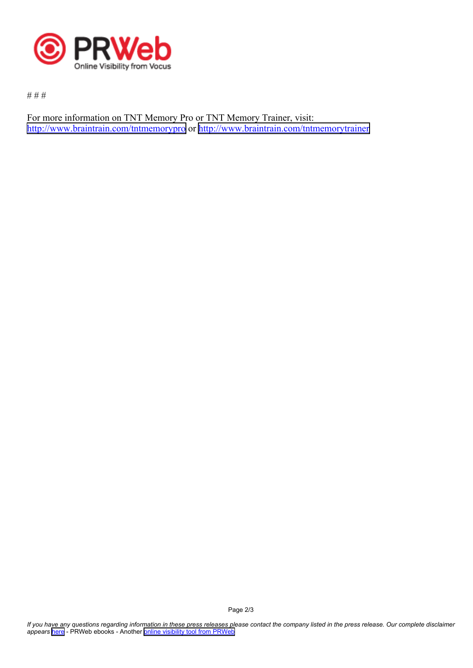

# # #

For more information on TNT Memory Pro or TNT Memory Trainer, visit: <http://www.braintrain.com/tntmemorypro> or <http://www.braintrain.com/tntmemorytrainer>